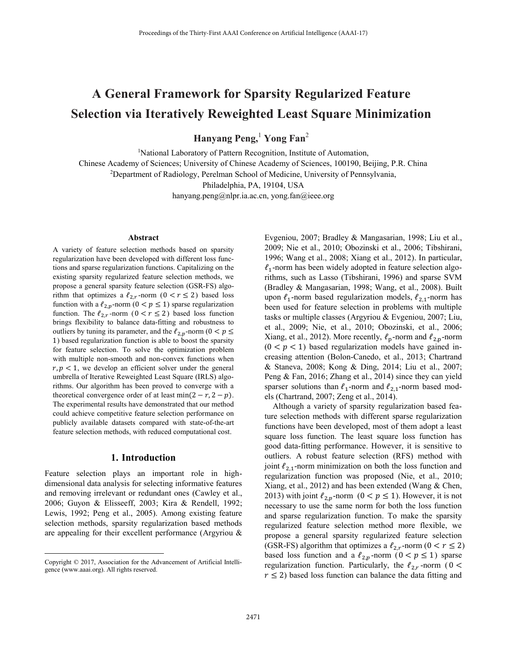# **A General Framework for Sparsity Regularized Feature Selection via Iteratively Reweighted Least Square Minimization**

**Hanyang Peng,**<sup>1</sup>  **Yong Fan**<sup>2</sup>

<sup>1</sup>National Laboratory of Pattern Recognition, Institute of Automation,

Chinese Academy of Sciences; University of Chinese Academy of Sciences, 100190, Beijing, P.R. China 2

Department of Radiology, Perelman School of Medicine, University of Pennsylvania,

Philadelphia, PA, 19104, USA

hanyang.peng@nlpr.ia.ac.cn, yong.fan@ieee.org

#### **Abstract**

A variety of feature selection methods based on sparsity regularization have been developed with different loss functions and sparse regularization functions. Capitalizing on the existing sparsity regularized feature selection methods, we propose a general sparsity feature selection (GSR-FS) algorithm that optimizes a  $\ell_{2,r}$ -norm  $(0 < r \le 2)$  based loss function with a  $\ell_{2,p}$ -norm  $(0 < p \le 1)$  sparse regularization function. The  $\ell_{2,r}$ -norm ( $0 < r \le 2$ ) based loss function brings flexibility to balance data-fitting and robustness to outliers by tuning its parameter, and the  $\ell_{2,p}$ -norm ( $0 < p \leq$ 1) based regularization function is able to boost the sparsity for feature selection. To solve the optimization problem with multiple non-smooth and non-convex functions when  $r, p < 1$ , we develop an efficient solver under the general umbrella of Iterative Reweighted Least Square (IRLS) algorithms. Our algorithm has been proved to converge with a theoretical convergence order of at least  $min(2 - r, 2 - p)$ . The experimental results have demonstrated that our method could achieve competitive feature selection performance on publicly available datasets compared with state-of-the-art feature selection methods, with reduced computational cost.

#### **1. Introduction**

Feature selection plays an important role in highdimensional data analysis for selecting informative features and removing irrelevant or redundant ones (Cawley et al., 2006; Guyon & Elisseeff, 2003; Kira & Rendell, 1992; Lewis, 1992; Peng et al., 2005). Among existing feature selection methods, sparsity regularization based methods are appealing for their excellent performance (Argyriou &

 $\overline{a}$ 

Evgeniou, 2007; Bradley & Mangasarian, 1998; Liu et al., 2009; Nie et al., 2010; Obozinski et al., 2006; Tibshirani, 1996; Wang et al., 2008; Xiang et al., 2012). In particular,  $\ell_1$ -norm has been widely adopted in feature selection algorithms, such as Lasso (Tibshirani, 1996) and sparse SVM (Bradley & Mangasarian, 1998; Wang, et al., 2008). Built upon  $\ell_1$ -norm based regularization models,  $\ell_{2,1}$ -norm has been used for feature selection in problems with multiple tasks or multiple classes (Argyriou & Evgeniou, 2007; Liu, et al., 2009; Nie, et al., 2010; Obozinski, et al., 2006; Xiang, et al., 2012). More recently,  $\ell_p$ -norm and  $\ell_{2,p}$ -norm  $(0 < p < 1)$  based regularization models have gained increasing attention (Bolon-Canedo, et al., 2013; Chartrand & Staneva, 2008; Kong & Ding, 2014; Liu et al., 2007; Peng & Fan, 2016; Zhang et al., 2014) since they can yield sparser solutions than  $\ell_1$ -norm and  $\ell_{2,1}$ -norm based models (Chartrand, 2007; Zeng et al., 2014).

 Although a variety of sparsity regularization based feature selection methods with different sparse regularization functions have been developed, most of them adopt a least square loss function. The least square loss function has good data-fitting performance. However, it is sensitive to outliers. A robust feature selection (RFS) method with joint  $\ell_{2,1}$ -norm minimization on both the loss function and regularization function was proposed (Nie, et al., 2010; Xiang, et al., 2012) and has been extended (Wang & Chen, 2013) with joint  $\ell_{2n}$ -norm  $(0 < p \le 1)$ . However, it is not necessary to use the same norm for both the loss function and sparse regularization function. To make the sparsity regularized feature selection method more flexible, we propose a general sparsity regularized feature selection (GSR-FS) algorithm that optimizes a  $\ell_{2,r}$ -norm ( $0 < r \leq 2$ ) based loss function and a  $\ell_{2,p}$ -norm  $(0 < p \le 1)$  sparse regularization function. Particularly, the  $\ell_{2,r}$ -norm (0 <  $r \leq 2$ ) based loss function can balance the data fitting and

Copyright © 2017, Association for the Advancement of Artificial Intelligence (www.aaai.org). All rights reserved.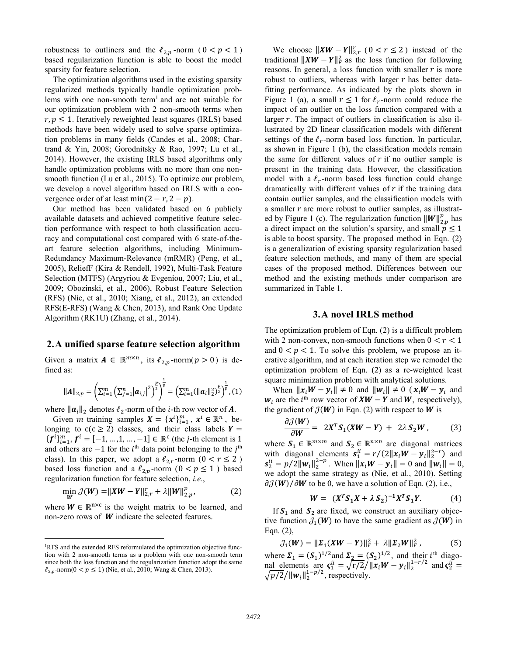robustness to outliners and the  $\ell_{2,p}$ -norm  $(0 < p < 1)$ based regularization function is able to boost the model sparsity for feature selection.

 The optimization algorithms used in the existing sparsity regularized methods typically handle optimization problems with one non-smooth term<sup>1</sup> and are not suitable for our optimization problem with 2 non-smooth terms when  $r, p \leq 1$ . Iteratively reweighted least squares (IRLS) based methods have been widely used to solve sparse optimization problems in many fields (Candes et al., 2008; Chartrand & Yin, 2008; Gorodnitsky & Rao, 1997; Lu et al., 2014). However, the existing IRLS based algorithms only handle optimization problems with no more than one nonsmooth function (Lu et al., 2015). To optimize our problem, we develop a novel algorithm based on IRLS with a convergence order of at least min $(2 - r, 2 - p)$ .

 Our method has been validated based on 6 publicly available datasets and achieved competitive feature selection performance with respect to both classification accuracy and computational cost compared with 6 state-of-theart feature selection algorithms, including Minimum-Redundancy Maximum-Relevance (mRMR) (Peng, et al., 2005), ReliefF (Kira & Rendell, 1992), Multi-Task Feature Selection (MTFS) (Argyriou & Evgeniou, 2007; Liu, et al., 2009; Obozinski, et al., 2006), Robust Feature Selection (RFS) (Nie, et al., 2010; Xiang, et al., 2012), an extended RFS(E-RFS) (Wang & Chen, 2013), and Rank One Update Algorithm (RK1U) (Zhang, et al., 2014).

## **2.A unified sparse feature selection algorithm**

Given a matrix  $A \in \mathbb{R}^{m \times n}$ , its  $\ell_{2,p}$ -norm $(p > 0)$  is defined as:

$$
||A||_{2,p} = \left(\sum_{i=1}^m \left(\sum_{j=1}^n |a_{i,j}|^2\right)^{\frac{p}{2}}\right)^{\frac{1}{p}} = \left(\sum_{i=1}^m (||a_i||_2^2)^{\frac{p}{2}}\right)^{\frac{1}{p}}, (1)
$$

where  $\|\boldsymbol{a}_i\|_2$  denotes  $\ell_2$ -norm of the *i*-th row vector of **A**.

Given *m* training samples  $X = \{x^i\}_{i=1}^m$ ,  $x^i \in \mathbb{R}^n$ , belonging to  $c(c \geq 2)$  classes, and their class labels  $Y =$  ${f^{i}}_{i=1}^{m}$ ,  ${f^{i}} = [-1, ..., 1, ..., -1] \in \mathbb{R}^{c}$  (the *j*-th element is 1 and others are  $-1$  for the  $i<sup>th</sup>$  data point belonging to the  $j<sup>th</sup>$ class). In this paper, we adopt a  $\ell_{2,r}$ -norm  $(0 < r \le 2)$ based loss function and a  $\ell_{2,p}$ -norm  $(0 < p \le 1)$  based regularization function for feature selection, *i.e.*,

$$
\min_{\mathbf{W}} \mathcal{J}(\mathbf{W}) = \| \mathbf{X} \mathbf{W} - \mathbf{Y} \|^2_{2,r} + \lambda \| \mathbf{W} \|^2_{2,p}, \tag{2}
$$

where  $W \in \mathbb{R}^{n \times c}$  is the weight matrix to be learned, and non-zero rows of  $W$  indicate the selected features.

 $\overline{a}$ 

We choose  $||XW - Y||_{2,r}^r$  (  $0 < r \le 2$  ) instead of the traditional  $||XW - Y||_F^2$  as the loss function for following reasons. In general, a loss function with smaller  $r$  is more robust to outliers, whereas with larger  $r$  has better datafitting performance. As indicated by the plots shown in Figure 1 (a), a small  $r \le 1$  for  $\ell_r$ -norm could reduce the impact of an outlier on the loss function compared with a larger  $r$ . The impact of outliers in classification is also illustrated by 2D linear classification models with different settings of the  $\ell_r$ -norm based loss function. In particular, as shown in Figure 1 (b), the classification models remain the same for different values of  $r$  if no outlier sample is present in the training data. However, the classification model with a  $\ell_r$ -norm based loss function could change dramatically with different values of  $r$  if the training data contain outlier samples, and the classification models with a smaller  $r$  are more robust to outlier samples, as illustrated by Figure 1 (c). The regularization function  $||W||_{2,p}^p$  has a direct impact on the solution's sparsity, and small  $p \le 1$ is able to boost sparsity. The proposed method in Eqn. (2) is a generalization of existing sparsity regularization based feature selection methods, and many of them are special cases of the proposed method. Differences between our method and the existing methods under comparison are summarized in Table 1.

## **3.A novel IRLS method**

The optimization problem of Eqn. (2) is a difficult problem with 2 non-convex, non-smooth functions when  $0 < r < 1$ and  $0 < p < 1$ . To solve this problem, we propose an iterative algorithm, and at each iteration step we remodel the optimization problem of Eqn. (2) as a re-weighted least square minimization problem with analytical solutions.

When  $||x_iW - y_i|| \neq 0$  and  $||w_i|| \neq 0$  ( $x_iW - y_i$  and  $w_i$  are the *i*<sup>th</sup> row vector of  $XW - Y$  and  $W$ , respectively), the gradient of  $\mathcal{J}(W)$  in Eqn. (2) with respect to W is

$$
\frac{\partial \mathcal{J}(W)}{\partial W} = 2X^T S_1(XW - Y) + 2\lambda S_2W, \qquad (3)
$$

where  $S_1 \in \mathbb{R}^{m \times m}$  and  $S_2 \in \mathbb{R}^{n \times n}$  are diagonal matrices with diagonal elements  $\mathbf{s}_1^{ii} = r/(2||\mathbf{x}_i \mathbf{W} - \mathbf{y}_i||_2^{2-r})$  and  $\mathbf{s}_2^{ii} = p/2 ||\mathbf{w}_i||_2^{2-p}$ . When  $||\mathbf{x}_i \mathbf{W} - \mathbf{y}_i|| = 0$  and  $||\mathbf{w}_i|| = 0$ , we adopt the same strategy as (Nie, et al., 2010). Setting  $\partial \mathcal{J}(W) / \partial W$  to be 0, we have a solution of Eqn. (2), i.e.,

$$
W = (X^T S_1 X + \lambda S_2)^{-1} X^T S_1 Y.
$$
 (4)

If  $S_1$  and  $S_2$  are fixed, we construct an auxiliary objective function  $J_1(W)$  to have the same gradient as  $J(W)$  in Eqn. (2),

$$
\mathcal{J}_1(W) = ||\Sigma_1(XW - Y)||_F^2 + \lambda ||\Sigma_2 W||_F^2, \tag{5}
$$

where  $\Sigma_1 = (\mathcal{S}_1)^{1/2}$  and  $\Sigma_2 = (\mathcal{S}_2)^{1/2}$ , and their *i*<sup>th</sup> diagonal elements are  $\zeta_1^{ii} = \sqrt{r/2}/||x_iW - y_i||_2^{1-r/2}$  and  $\zeta_2^{ii} =$  $\sqrt{p/2}/\|\mathbf{w}_i\|_2^{1-p/2}$ , respectively.

<sup>&</sup>lt;sup>1</sup>RFS and the extended RFS reformulated the optimization objective function with 2 non-smooth terms as a problem with one non-smooth term since both the loss function and the regularization function adopt the same  $\ell_{2,p}$ -norm( $0 < p \le 1$ ) (Nie, et al., 2010; Wang & Chen, 2013).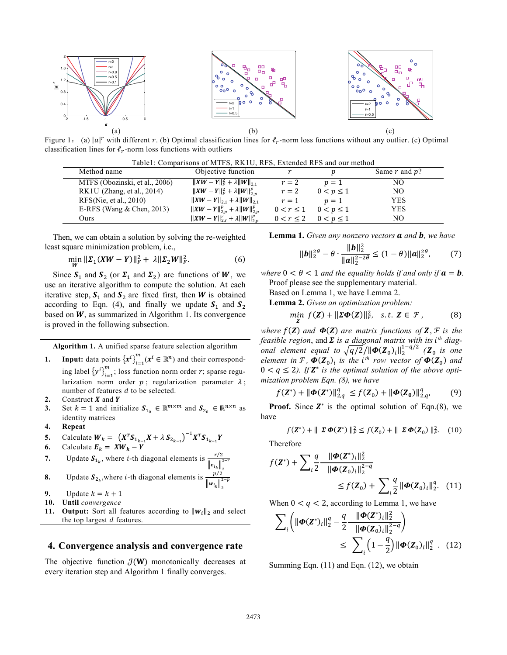

Figure 1: (a)  $|a|^r$  with different r. (b) Optimal classification lines for  $\ell_r$ -norm loss functions without any outlier. (c) Optimal classification lines for  $\ell_r$ -norm loss functions with outliers

| Method name                    | Objective function                             |                |                               | Same $r$ and $p$ ? |
|--------------------------------|------------------------------------------------|----------------|-------------------------------|--------------------|
| MTFS (Obozinski, et al., 2006) | $  XW - Y  _F^2 + \lambda   W  _{21}$          | $r=2$          | $p=1$                         | NΟ                 |
| RK1U (Zhang, et al., 2014)     | $  XW - Y  _F^2 + \lambda   W  _{2,n}^p$       | $r=2$          | $0 < p \leq 1$                | NO                 |
| RFS(Nie, et al., $2010$ )      | $  XW - Y  _{2,1} + \lambda   W  _{2,1}$       | $r=1$          | $n=1$                         | <b>YES</b>         |
| E-RFS (Wang $&$ Chen, 2013)    | $  XW - Y  _{2, p}^p + \lambda   W  _{2, p}^p$ |                | $0 < r \leq 1$ $0 < p \leq 1$ | <b>YES</b>         |
| Ours                           | $  XW - Y  _{2,r}^r + \lambda   W  _{2,n}^p$   | $0 < r \leq 2$ | $0 < p \leq 1$                | NΟ                 |

 Then, we can obtain a solution by solving the re-weighted least square minimization problem, i.e.,

$$
\min_{W} \|\Sigma_1(XW - Y)\|_F^2 + \lambda \|\Sigma_2 W\|_F^2. \tag{6}
$$

Since  $S_1$  and  $S_2$  (or  $\Sigma_1$  and  $\Sigma_2$ ) are functions of W, we use an iterative algorithm to compute the solution. At each iterative step,  $S_1$  and  $S_2$  are fixed first, then W is obtained according to Eqn. (4), and finally we update  $S_1$  and  $S_2$ based on  $W$ , as summarized in Algorithm 1. Its convergence is proved in the following subsection.

**Algorithm 1.** A unified sparse feature selection algorithm

- **1. Input:** data points  $\{x^i\}_{i=1}^m$  ( $x^i \in \mathbb{R}^n$ ) and their corresponding label  $\{y^i\}_{i=1}^m$ ; loss function norm order *r*; sparse regularization norm order  $p$ ; regularization parameter  $\lambda$ ; number of features  $d$  to be selected.
- 2. Construct *X* and *Y*<br>3. Set  $k = 1$  and init
- Set  $k = 1$  and initialize  $S_{1_0} \in \mathbb{R}^{m \times m}$  and  $S_{2_0} \in \mathbb{R}^{n \times n}$  as identity matrices
- **4. Repeat**

5. Calculate 
$$
W_k = (X^T S_{1_{k-1}} X + \lambda S_{2_{k-1}})^{-1} X^T S_{1_{k-1}} Y
$$

6. Calculate 
$$
E_k = XW_k - Y
$$

7. Update 
$$
S_{1_k}
$$
, where *i*-th diagonal elements is  $\frac{r/2}{\|e_{i_k}\|_2^{2-r}}$ 

- **8.** Update  $S_{2k}$ , where *i*-th diagonal elements is  $\frac{p/2}{\|w_{i_k}\|_2^2}$  $_{2-p}$
- **9.** Update  $k = k + 1$ <br>**10.** Until *convergence*
- **10. Until** *convergence*
- **11. Output:** Sort all features according to  $||w_i||_2$  and select the top largest  $d$  features.

## **4. Convergence analysis and convergence rate**

The objective function  $\mathcal{J}(\mathbf{W})$  monotonically decreases at every iteration step and Algorithm 1 finally converges.

**Lemma 1.** *Given any nonzero vectors a and b, we have* 

$$
\|\bm{b}\|_2^{2\theta} - \theta \cdot \frac{\|\bm{b}\|_2^2}{\|\bm{a}\|_2^{2-2\theta}} \le (1-\theta) \|\bm{a}\|_2^{2\theta},\tag{7}
$$

*where*  $0 < \theta < 1$  *and the equality holds if and only if*  $a = b$ . Proof please see the supplementary material.

Based on Lemma 1, we have Lemma 2.

**Lemma 2.** *Given an optimization problem:* 

$$
\min_{\mathbf{Z}} f(\mathbf{Z}) + \|\Sigma \Phi(\mathbf{Z})\|_F^2, \ \text{s.t.} \ \mathbf{Z} \in \mathcal{F}, \tag{8}
$$

*where*  $f(Z)$  *and*  $\Phi(Z)$  *are matrix functions of* **Z**,  $\mathcal{F}$  *is the feasible region, and*  $\Sigma$  *is a diagonal matrix with its i<sup>th</sup> diagonal element equal to*  $\sqrt{q/2}/\|\boldsymbol{\Phi}(\boldsymbol{Z}_0)_i\|_2^{1-q/2}$  ( $\boldsymbol{Z}_0$  is one *element in*  $\mathcal{F}, \Phi(\mathbf{Z}_0)$ *<sub>i</sub>* is the *i*<sup>th</sup> row vector of  $\Phi(\mathbf{Z}_0)$  and  $0 < q \leq 2$ ). If  $\mathbb{Z}^*$  is the optimal solution of the above opti*mization problem Eqn. (8), we have* 

$$
f(\mathbf{Z}^*) + ||\boldsymbol{\Phi}(\mathbf{Z}^*)||_{2,q}^q \le f(\mathbf{Z}_0) + ||\boldsymbol{\Phi}(\mathbf{Z}_0)||_{2,q}^q,\tag{9}
$$

**Proof.** Since  $Z^*$  is the optimal solution of Eqn.(8), we have

$$
f(\mathbf{Z}^*) + \parallel \boldsymbol{\Sigma} \boldsymbol{\Phi}(\mathbf{Z}^*) \parallel_F^2 \le f(\mathbf{Z}_0) + \parallel \boldsymbol{\Sigma} \boldsymbol{\Phi}(\mathbf{Z}_0) \parallel_F^2. \quad (10)
$$

Therefore

$$
f(\mathbf{Z}^*) + \sum_{i} \frac{q}{2} \frac{\|\boldsymbol{\Phi}(\mathbf{Z}^*)_{i}\|_{2}^{2}}{\|\boldsymbol{\Phi}(\mathbf{Z}_0)_{i}\|_{2}^{2-q}} \leq f(\mathbf{Z}_0) + \sum_{i} \frac{q}{2} \|\boldsymbol{\Phi}(\mathbf{Z}_0)_{i}\|_{2}^{q}.
$$
 (11)

When  $0 < q < 2$ , according to Lemma 1, we have

$$
\sum_{i} \left( \|\boldsymbol{\Phi}(\mathbf{Z}^*)_{i}\|_{2}^{q} - \frac{q}{2} \frac{\|\boldsymbol{\Phi}(\mathbf{Z}^*)_{i}\|_{2}^{2}}{\|\boldsymbol{\Phi}(\mathbf{Z}_{0})_{i}\|_{2}^{2-q}} \right) \leq \sum_{i} \left( 1 - \frac{q}{2} \right) \|\boldsymbol{\Phi}(\mathbf{Z}_{0})_{i}\|_{2}^{q} \quad (12)
$$

Summing Eqn. (11) and Eqn. (12), we obtain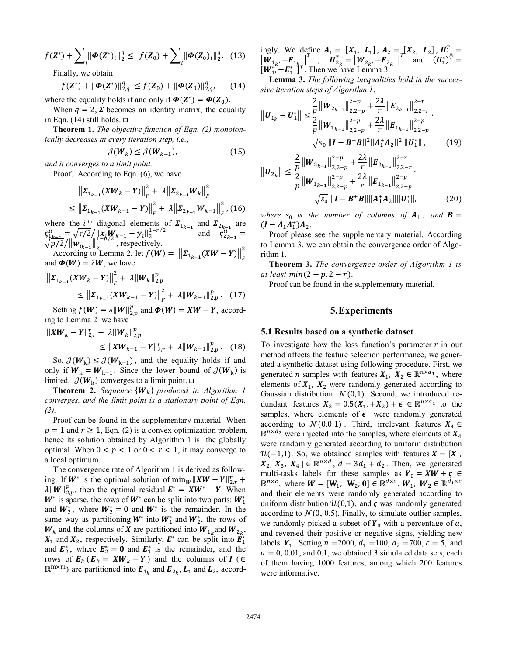$$
f(\mathbf{Z}^*) + \sum_{i} ||\boldsymbol{\Phi}(\mathbf{Z}^*)_i||_2^q \leq f(\mathbf{Z}_0) + \sum_{i} ||\boldsymbol{\Phi}(\mathbf{Z}_0)_i||_2^q. \tag{13}
$$

Finally, we obtain

$$
f(\mathbf{Z}^*) + ||\boldsymbol{\Phi}(\mathbf{Z}^*)||_{2,q}^q \le f(\mathbf{Z}_0) + ||\boldsymbol{\Phi}(\mathbf{Z}_0)||_{2,q}^q,\qquad(14)
$$

where the equality holds if and only if  $\Phi(Z^*) = \Phi(Z_0)$ .

When  $q = 2$ ,  $\Sigma$  becomes an identity matrix, the equality in Eqn. (14) still holds.  $\Box$ 

**Theorem 1.** *The objective function of Eqn. (2) monotonically decreases at every iteration step, i.e.,* 

$$
\mathcal{J}(W_k) \le \mathcal{J}(W_{k-1}),\tag{15}
$$

*and it converges to a limit point.* 

Proof. According to Eqn. (6), we have

$$
\|\Sigma_{1_{k-1}}(XW_{k}-Y)\|_{F}^{2} + \lambda \|\Sigma_{2_{k-1}}W_{k}\|_{F}^{2}
$$
  
\n
$$
\leq \|\Sigma_{1_{k-1}}(XW_{k-1}-Y)\|_{F}^{2} + \lambda \|\Sigma_{2_{k-1}}W_{k-1}\|_{F}^{2}, (16)
$$

where the *i*<sup>th</sup> diagonal elements of  $\Sigma_{1_{k-1}}$  and  $\Sigma_{2_{k-1}}$  are  $S_{1k-1}^{ii} = \sqrt{\frac{r}{2}} \sqrt{\frac{r}{2}} \mathbf{W}_{n-1} + \mathbf{W}_{i} \mathbf{W}_{k-1} = \mathbf{W}_{i} \mathbf{W}_{i} + \mathbf{W}_{i} \mathbf{W}_{k-1} = \mathbf{W}_{i} \mathbf{W}_{i}$  $\sqrt{\frac{p-1}{p}}/2/\|\mathbf{w}_{i_{k-1}}\|_{2}^{1-p/2}$ , respectively. According to Lemma 2, let  $f(\mathbf{W}) = ||\mathbf{\Sigma}_{1_{k-1}}(\mathbf{X}\mathbf{W} - \mathbf{Y})||_F^2$ 

and  $\boldsymbol{\Phi}(W) = \lambda W$ , we have

$$
\|\Sigma_{1_{k-1}}(XW_{k}-Y)\|_{F}^{2} + \lambda \|W_{k}\|_{2,p}^{p}
$$
  
\n
$$
\leq \|\Sigma_{1_{k-1}}(XW_{k-1}-Y)\|_{F}^{2} + \lambda \|W_{k-1}\|_{2,p}^{p}. \quad (17)
$$

Setting  $f(W) = \lambda ||W||_{2,p}^p$  and  $\Phi(W) = XW - Y$ , according to Lemma 2 we have

$$
||XW_{k} - Y||_{2,r}^{r} + \lambda ||W_{k}||_{2,p}^{p}
$$
  
\n
$$
\leq ||XW_{k-1} - Y||_{2,r}^{r} + \lambda ||W_{k-1}||_{2,p}^{p}. \quad (18)
$$

So,  $\mathcal{J}(W_k) \leq \mathcal{J}(W_{k-1})$ , and the equality holds if and only if  $W_k = W_{k-1}$ . Since the lower bound of  $\mathcal{J}(W_k)$  is limited,  $\mathcal{J}(\boldsymbol{W}_k)$  converges to a limit point.  $\Box$ 

**Theorem 2.** *Sequence*  ${W_k}$  *produced in Algorithm 1 converges, and the limit point is a stationary point of Eqn. (2).*

 Proof can be found in the supplementary material. When  $p = 1$  and  $r \ge 1$ , Eqn. (2) is a convex optimization problem, hence its solution obtained by Algorithm 1 is the globally optimal. When  $0 < p < 1$  or  $0 < r < 1$ , it may converge to a local optimum.

 The convergence rate of Algorithm 1 is derived as following. If  $W^*$  is the optimal solution of  $\min_W ||XW - Y||_{2,r}^r +$  $\lambda \|W\|_{2,p}^p$ , then the optimal residual  $E^* = XW^* - Y$ . When  $W^*$  is sparse, the rows of  $W^*$  can be split into two parts:  $W_1^*$ and  $W_2^*$ , where  $W_2^* = 0$  and  $W_1^*$  is the remainder. In the same way as partitioning  $W^*$  into  $W_1^*$  and  $W_2^*$ , the rows of  $W_k$  and the columns of X are partitioned into  $W_{1_k}$  and  $W_{2_k}$ ,  $X_1$  and  $X_2$ , respectively. Similarly,  $E^*$  can be split into  $E_1^*$ and  $\mathbf{E}_2^*$ , where  $\mathbf{E}_2^* = \mathbf{0}$  and  $\mathbf{E}_1^*$  is the remainder, and the rows of  $E_k$  ( $E_k = XW_k - Y$ ) and the columns of  $I$  ( $\in$  $\mathbb{R}^{m \times m}$ ) are partitioned into  $\mathbf{E}_{1_k}$  and  $\mathbf{E}_{2_k}$ ,  $\mathbf{L}_1$  and  $\mathbf{L}_2$ , accordingly. We define  $A_1 = [X_1, L_1], A_2 = [X_2, L_2], U_{1,k}^T =$  $\begin{bmatrix} \overline{W}_{1_k}, -\overline{E}_{1_k} \end{bmatrix}^T$ ,  $\overline{U}_{2_k}^T = \begin{bmatrix} W_{2_k}, -\overline{E}_{2_k} \end{bmatrix}^T$  and  $\overline{(U_1^*)}^T =$  $[\boldsymbol{W}_1^*, -\boldsymbol{E}_1^*]^{T}$ . Then we have Lemma 3.

**Lemma 3.** *The following inequalities hold in the successive iteration steps of Algorithm 1*.

$$
\|\boldsymbol{U}_{1_{k}} - \boldsymbol{U}_{1}^{*}\| \leq \frac{\frac{2}{p} \|\boldsymbol{W}_{2_{k-1}}\|_{2,2-p}^{2-p} + \frac{2\lambda}{r} \|\boldsymbol{E}_{2_{k-1}}\|_{2,2-r}^{2-r}}{\frac{2}{p} \|\boldsymbol{W}_{1_{k-1}}\|_{2,2-p}^{2-p} + \frac{2\lambda}{r} \|\boldsymbol{E}_{1_{k-1}}\|_{2,2-p}^{2-p}} \cdot \frac{\sqrt{s_{0}} \|\boldsymbol{I} - \boldsymbol{B}^{+} \boldsymbol{B}\|^{2} \|\boldsymbol{A}_{1}^{+} \boldsymbol{A}_{2}\|^{2} \|\boldsymbol{U}_{1}^{*}\|, \qquad (19)
$$

$$
\|\boldsymbol{U}_{2_{k}}\| \leq \frac{\frac{1}{p} \|\boldsymbol{W}_{2_{k-1}}\|_{2,2-p} + \frac{1}{r} \|\boldsymbol{E}_{2_{k-1}}\|_{2,2-r}}{\frac{2}{p} \|\boldsymbol{W}_{1_{k-1}}\|_{2,2-p}^{2-p} + \frac{2\lambda}{r} \|\boldsymbol{E}_{1_{k-1}}\|_{2,2-p}^{2-p}} \cdot \sqrt{s_{0}} \|\boldsymbol{I} - \boldsymbol{B}^{+} \boldsymbol{B}\| \|\boldsymbol{A}_{1}^{+} \boldsymbol{A}_{2}\| \|\boldsymbol{U}_{1}^{*}\|, \tag{20}
$$

*where*  $s_0$  *is the number of columns of*  $A_1$ , and  $B =$  $(I - A_1 A_1^+) A_2$ .

 Proof please see the supplementary material. According to Lemma 3, we can obtain the convergence order of Algorithm 1.

**Theorem 3.** *The convergence order of Algorithm 1 is at least min* $(2 - p, 2 - r)$ .

Proof can be found in the supplementary material.

# **5.Experiments**

#### **5.1 Results based on a synthetic dataset**

To investigate how the loss function's parameter  $r$  in our method affects the feature selection performance, we generated a synthetic dataset using following procedure. First, we generated *n* samples with features  $X_1, X_2 \in \mathbb{R}^{n \times d_1}$ , where elements of  $X_1$ ,  $X_2$  were randomly generated according to Gaussian distribution  $\mathcal{N}(0,1)$ . Second, we introduced redundant features  $X_3 = 0.5(X_1, +X_2) + \epsilon \in \mathbb{R}^{n \times d_1}$  to the samples, where elements of  $\epsilon$  were randomly generated according to  $\mathcal{N}(0,0.1)$ . Third, irrelevant features  $X_4 \in$  $\mathbb{R}^{n \times d_2}$  were injected into the samples, where elements of  $X_4$ were randomly generated according to uniform distribution  $\mathcal{U}(-1,1)$ . So, we obtained samples with features  $X = [X_1, \dots, X_n]$  $X_2, X_3, X_4] \in \mathbb{R}^{n \times d}$ ,  $d = 3d_1 + d_2$ . Then, we generated multi-tasks labels for these samples as  $Y_0 = XW + \varsigma \in$  $\mathbb{R}^{n \times c}$ , where  $W = [\mathbf{W}_1; \mathbf{W}_2; \mathbf{0}] \in \mathbb{R}^{d \times c}$ ,  $W_1, W_2 \in \mathbb{R}^{d_1 \times c}$ and their elements were randomly generated according to uniform distribution  $\mathcal{U}(0,1)$ , and  $\boldsymbol{\zeta}$  was randomly generated according to  $\mathcal{N}(0, 0.5)$ . Finally, to simulate outlier samples, we randomly picked a subset of  $Y_0$  with a percentage of  $a$ , and reversed their positive or negative signs, yielding new labels  $Y_1$ . Setting  $n = 2000$ ,  $d_1 = 100$ ,  $d_2 = 700$ ,  $c = 5$ , and  $a = 0, 0.01,$  and 0.1, we obtained 3 simulated data sets, each of them having 1000 features, among which 200 features were informative.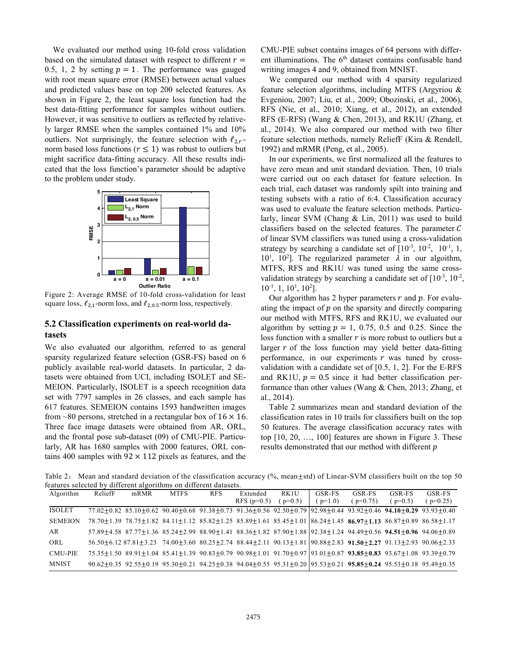We evaluated our method using 10-fold cross validation based on the simulated dataset with respect to different  $r =$ 0.5, 1, 2 by setting  $p = 1$ . The performance was gauged with root mean square error (RMSE) between actual values and predicted values base on top 200 selected features. As shown in Figure 2, the least square loss function had the best data-fitting performance for samples without outliers. However, it was sensitive to outliers as reflected by relatively larger RMSE when the samples contained 1% and 10% outliers. Not surprisingly, the feature selection with  $\ell_{2,r}$ norm based loss functions ( $r \leq 1$ ) was robust to outliers but might sacrifice data-fitting accuracy. All these results indicated that the loss function's parameter should be adaptive to the problem under study.



Figure 2: Average RMSE of 10-fold cross-validation for least square loss,  $\ell_{2,1}$ -norm loss, and  $\ell_{2,0.5}$ -norm loss, respectively.

## **5.2 Classification experiments on real-world datasets**

We also evaluated our algorithm, referred to as general sparsity regularized feature selection (GSR-FS) based on 6 publicly available real-world datasets. In particular, 2 datasets were obtained from UCI, including ISOLET and SE-MEION. Particularly, ISOLET is a speech recognition data set with 7797 samples in 26 classes, and each sample has 617 features. SEMEION contains 1593 handwritten images from ~80 persons, stretched in a rectangular box of  $16 \times 16$ . Three face image datasets were obtained from AR, ORL, and the frontal pose sub-dataset (09) of CMU-PIE. Particularly, AR has 1680 samples with 2000 features, ORL contains 400 samples with  $92 \times 112$  pixels as features, and the

CMU-PIE subset contains images of 64 persons with different illuminations. The 6<sup>th</sup> dataset contains confusable hand writing images 4 and 9, obtained from MNIST.

 We compared our method with 4 sparsity regularized feature selection algorithms, including MTFS (Argyriou & Evgeniou, 2007; Liu, et al., 2009; Obozinski, et al., 2006), RFS (Nie, et al., 2010; Xiang, et al., 2012), an extended RFS (E-RFS) (Wang & Chen, 2013), and RK1U (Zhang, et al., 2014). We also compared our method with two filter feature selection methods, namely ReliefF (Kira & Rendell, 1992) and mRMR (Peng, et al., 2005).

 In our experiments, we first normalized all the features to have zero mean and unit standard deviation. Then, 10 trials were carried out on each dataset for feature selection. In each trial, each dataset was randomly spilt into training and testing subsets with a ratio of 6:4. Classification accuracy was used to evaluate the feature selection methods. Particularly, linear SVM (Chang & Lin, 2011) was used to build classifiers based on the selected features. The parameter  $C$ of linear SVM classifiers was tuned using a cross-validation strategy by searching a candidate set of  $[10^{-3}, 10^{-2}, 10^{-1}, 1,$ 10<sup>1</sup>, 10<sup>2</sup>]. The regularized parameter  $\lambda$  in our algoithm, MTFS, RFS and RK1U was tuned using the same crossvalidation strategy by searching a candidate set of  $[10^{-3}, 10^{-2}]$ ,  $10^{-1}$ , 1,  $10^{1}$ ,  $10^{2}$ ].

Our algorithm has 2 hyper parameters  $r$  and  $p$ . For evaluating the impact of  $p$  on the sparsity and directly comparing our method with MTFS, RFS and RK1U, we evaluated our algorithm by setting  $p = 1$ , 0.75, 0.5 and 0.25. Since the loss function with a smaller  $r$  is more robust to outliers but a larger  $r$  of the loss function may yield better data-fitting performance, in our experiments  $r$  was tuned by crossvalidation with a candidate set of [0.5, 1, 2]. For the E-RFS and RK1U,  $p = 0.5$  since it had better classification performance than other values (Wang & Chen, 2013; Zhang, et al., 2014).

 Table 2 summarizes mean and standard deviation of the classification rates in 10 trails for classifiers built on the top 50 features. The average classification accuracy rates with top [10, 20, …, 100] features are shown in Figure 3. These results demonstrated that our method with different p

Table 2: Mean and standard deviation of the classification accuracy  $(\%$ , mean $\pm$ std) of Linear-SVM classifiers built on the top 50 features selected by different algorithms on different datasets.

| Algorithm      | ReliefF | mRMR | <b>MTFS</b>                                                                                                                                                               | <b>RFS</b> | Extended      | RK <sub>1U</sub> | GSR-FS  | GSR-FS   | GSR-FS  | GSR-FS   |
|----------------|---------|------|---------------------------------------------------------------------------------------------------------------------------------------------------------------------------|------------|---------------|------------------|---------|----------|---------|----------|
|                |         |      |                                                                                                                                                                           |            | RFS $(p=0.5)$ | $p=0.5$          | $p=1.0$ | $p=0.75$ | $p=0.5$ | $p=0.25$ |
| <b>ISOLET</b>  |         |      | $77.02+0.82$ $85.10+0.62$ $90.40+0.68$ $91.38+0.73$ $91.36+0.56$ $92.50+0.79$ $92.98+0.44$ $93.92+0.46$ $94.10+0.29$ $93.93+0.40$                                         |            |               |                  |         |          |         |          |
| <b>SEMEION</b> |         |      | $78.70 \pm 1.39$ $78.75 \pm 1.82$ $84.11 \pm 1.12$ $85.82 \pm 1.25$ $85.89 \pm 1.61$ $85.45 \pm 1.01$ $86.24 \pm 1.45$ $86.97 \pm 1.13$ $86.87 \pm 0.89$ $86.58 \pm 1.17$ |            |               |                  |         |          |         |          |
| AR             |         |      | $57.89\pm4.58$ $87.77\pm1.36$ $85.24\pm2.99$ $88.90\pm1.41$ $88.36\pm1.82$ $87.90\pm1.88$ $92.38\pm1.24$ $94.49\pm0.56$ $94.51\pm0.96$ $94.06\pm0.89$                     |            |               |                  |         |          |         |          |
| ORL            |         |      | $56.50+6.1287.81+3.2374.00+3.6080.25+2.7488.44+2.1190.13+1.8190.88+2.8391.50+2.2791.13+2.9390.06+2.33$                                                                    |            |               |                  |         |          |         |          |
| <b>CMU-PIE</b> |         |      | $75.35\pm1.50$ 89.91 $\pm1.04$ 85.41 $\pm1.39$ 90.83 $\pm0.79$ 90.98 $\pm1.01$ 91.70 $\pm0.97$ 93.01 $\pm0.87$ 93.85 $\pm0.83$ 93.67 $\pm1.08$ 93.39 $\pm0.79$            |            |               |                  |         |          |         |          |
| <b>MNIST</b>   |         |      | $90.62+0.35$ $92.55+0.19$ $95.30+0.21$ $94.25+0.38$ $94.04+0.55$ $95.31+0.20$ $95.53+0.21$ $95.85+0.24$ $95.53+0.18$ $95.49+0.35$                                         |            |               |                  |         |          |         |          |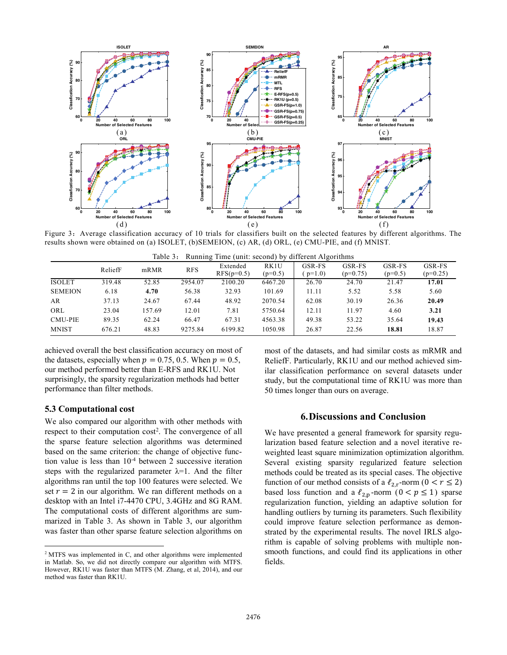

Figure 3: Average classification accuracy of 10 trials for classifiers built on the selected features by different algorithms. The results shown were obtained on (a) ISOLET, (b)SEMEION, (c) AR, (d) ORL, (e) CMU-PIE, and (f) MNIST*.*

|  | Table 3: Running Time (unit: second) by different Algorithms |
|--|--------------------------------------------------------------|
|  |                                                              |

|                |         |        |            |                          |                   | ັ                 |                      |                     |                      |
|----------------|---------|--------|------------|--------------------------|-------------------|-------------------|----------------------|---------------------|----------------------|
|                | ReliefF | mRMR   | <b>RFS</b> | Extended<br>$RFS(p=0.5)$ | RK1U<br>$(p=0.5)$ | GSR-FS<br>$p=1.0$ | GSR-FS<br>$(p=0.75)$ | GSR-FS<br>$(p=0.5)$ | GSR-FS<br>$(p=0.25)$ |
| <b>ISOLET</b>  | 319.48  | 52.85  | 2954.07    | 2100.20                  | 6467.20           | 26.70             | 24.70                | 21.47               | 17.01                |
| <b>SEMEION</b> | 6.18    | 4.70   | 56.38      | 32.93                    | 101.69            | 11.11             | 5.52                 | 5.58                | 5.60                 |
| AR             | 37.13   | 24.67  | 67.44      | 48.92                    | 2070.54           | 62.08             | 30.19                | 26.36               | 20.49                |
| ORL            | 23.04   | 157.69 | 12.01      | 7.81                     | 5750.64           | 12.11             | 11.97                | 4.60                | 3.21                 |
| <b>CMU-PIE</b> | 89.35   | 62.24  | 66.47      | 67.31                    | 4563.38           | 49.38             | 53.22                | 35.64               | 19.43                |
| <b>MNIST</b>   | 676.21  | 48.83  | 9275.84    | 6199.82                  | 1050.98           | 26.87             | 22.56                | 18.81               | 18.87                |
|                |         |        |            |                          |                   |                   |                      |                     |                      |

achieved overall the best classification accuracy on most of the datasets, especially when  $p = 0.75, 0.5$ . When  $p = 0.5$ , our method performed better than E-RFS and RK1U. Not surprisingly, the sparsity regularization methods had better performance than filter methods.

# **5.3 Computational cost**

 $\overline{a}$ 

We also compared our algorithm with other methods with respect to their computation  $cost^2$ . The convergence of all the sparse feature selection algorithms was determined based on the same criterion: the change of objective function value is less than  $10^{-4}$  between 2 successive iteration steps with the regularized parameter  $\lambda=1$ . And the filter algorithms ran until the top 100 features were selected. We set  $r = 2$  in our algorithm. We ran different methods on a desktop with an Intel i7-4470 CPU, 3.4GHz and 8G RAM. The computational costs of different algorithms are summarized in Table 3. As shown in Table 3, our algorithm was faster than other sparse feature selection algorithms on

most of the datasets, and had similar costs as mRMR and ReliefF. Particularly, RK1U and our method achieved similar classification performance on several datasets under study, but the computational time of RK1U was more than 50 times longer than ours on average.

#### **6.Discussions and Conclusion**

We have presented a general framework for sparsity regularization based feature selection and a novel iterative reweighted least square minimization optimization algorithm. Several existing sparsity regularized feature selection methods could be treated as its special cases. The objective function of our method consists of a  $\ell_{2,r}$ -norm  $(0 < r \le 2)$ based loss function and a  $\ell_{2,p}$ -norm  $(0 < p \le 1)$  sparse regularization function, yielding an adaptive solution for handling outliers by turning its parameters. Such flexibility could improve feature selection performance as demonstrated by the experimental results. The novel IRLS algorithm is capable of solving problems with multiple nonsmooth functions, and could find its applications in other fields.

<sup>2</sup> MTFS was implemented in C, and other algorithms were implemented in Matlab. So, we did not directly compare our algorithm with MTFS. However, RK1U was faster than MTFS (M. Zhang, et al, 2014), and our method was faster than RK1U.